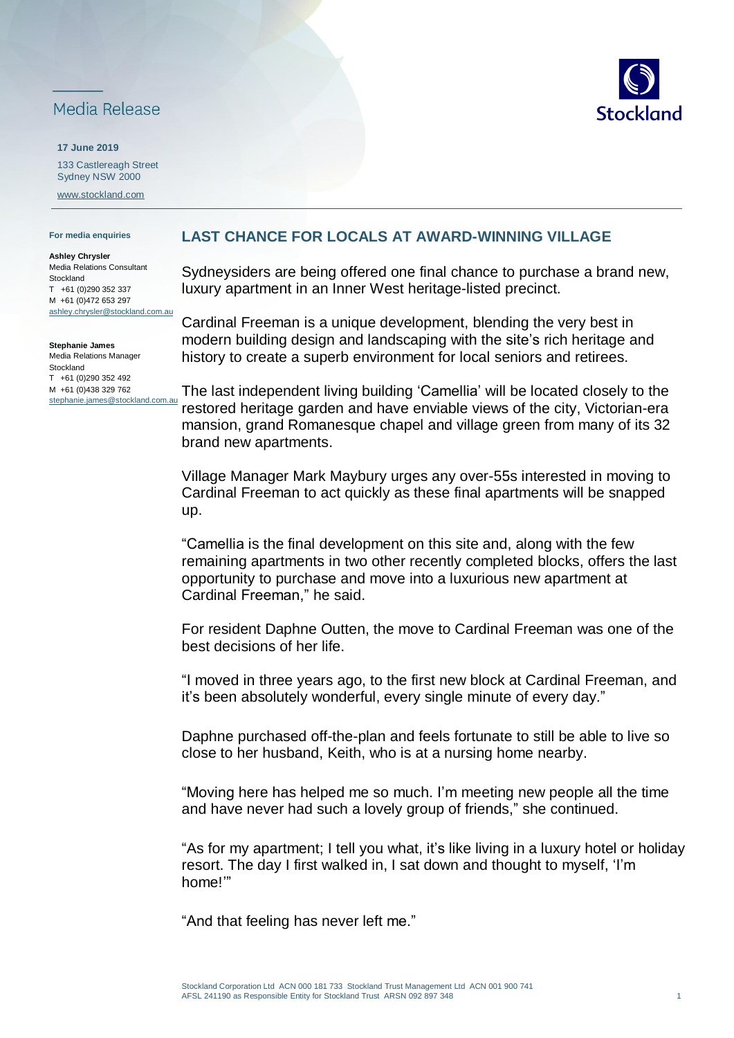## Media Release

**17 June 2019** 133 Castlereagh Street Sydney NSW 2000 [www.stockland.com](http://www.stockland.com/)

## **For media enquiries**

**Ashley Chrysler** Media Relations Consultant **Stockland** T +61 (0)290 352 337 M +61 (0)472 653 297 ashley.chrysler@stockland.com.au

**Stephanie James** Media Relations Manager Stockland T +61 (0)290 352 492 M +61 (0)438 329 762 stephanie.james@stockland.com.au

## **LAST CHANCE FOR LOCALS AT AWARD-WINNING VILLAGE**

Sydneysiders are being offered one final chance to purchase a brand new, luxury apartment in an Inner West heritage-listed precinct.

Cardinal Freeman is a unique development, blending the very best in modern building design and landscaping with the site's rich heritage and history to create a superb environment for local seniors and retirees.

The last independent living building 'Camellia' will be located closely to the restored heritage garden and have enviable views of the city, Victorian-era mansion, grand Romanesque chapel and village green from many of its 32 brand new apartments.

Village Manager Mark Maybury urges any over-55s interested in moving to Cardinal Freeman to act quickly as these final apartments will be snapped up.

"Camellia is the final development on this site and, along with the few remaining apartments in two other recently completed blocks, offers the last opportunity to purchase and move into a luxurious new apartment at Cardinal Freeman," he said.

For resident Daphne Outten, the move to Cardinal Freeman was one of the best decisions of her life.

"I moved in three years ago, to the first new block at Cardinal Freeman, and it's been absolutely wonderful, every single minute of every day."

Daphne purchased off-the-plan and feels fortunate to still be able to live so close to her husband, Keith, who is at a nursing home nearby.

"Moving here has helped me so much. I'm meeting new people all the time and have never had such a lovely group of friends," she continued.

"As for my apartment; I tell you what, it's like living in a luxury hotel or holiday resort. The day I first walked in, I sat down and thought to myself, 'I'm home!'"

"And that feeling has never left me."